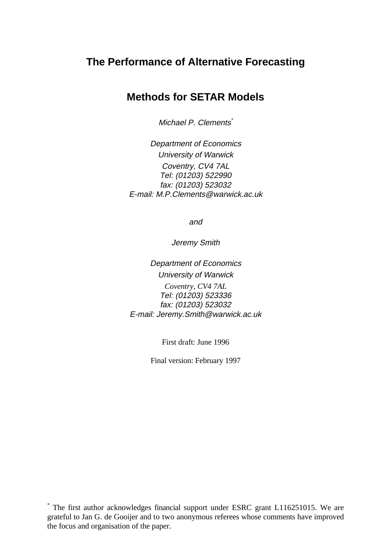# **The Performance of Alternative Forecasting**

# **Methods for SETAR Models**

Michael P. Clements<sup>\*</sup>

Department of Economics University of Warwick Coventry, CV4 7AL Tel: (01203) 522990 fax: (01203) 523032 E-mail: M.P.Clements@warwick.ac.uk

and

Jeremy Smith

Department of Economics University of Warwick

*Coventry, CV4 7AL* Tel: (01203) 523336 fax: (01203) 523032 E-mail: Jeremy.Smith@warwick.ac.uk

First draft: June 1996

Final version: February 1997

\* The first author acknowledges financial support under ESRC grant L116251015. We are grateful to Jan G. de Gooijer and to two anonymous referees whose comments have improved the focus and organisation of the paper.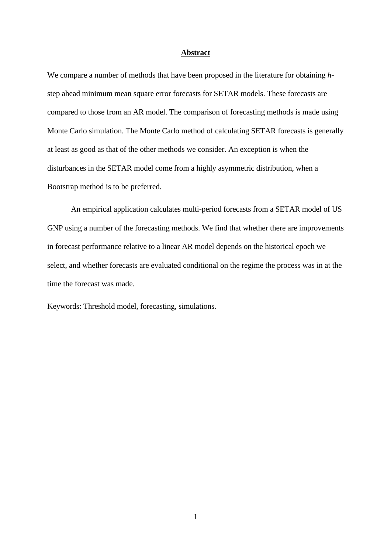## **Abstract**

We compare a number of methods that have been proposed in the literature for obtaining *h*step ahead minimum mean square error forecasts for SETAR models. These forecasts are compared to those from an AR model. The comparison of forecasting methods is made using Monte Carlo simulation. The Monte Carlo method of calculating SETAR forecasts is generally at least as good as that of the other methods we consider. An exception is when the disturbances in the SETAR model come from a highly asymmetric distribution, when a Bootstrap method is to be preferred.

An empirical application calculates multi-period forecasts from a SETAR model of US GNP using a number of the forecasting methods. We find that whether there are improvements in forecast performance relative to a linear AR model depends on the historical epoch we select, and whether forecasts are evaluated conditional on the regime the process was in at the time the forecast was made.

Keywords: Threshold model, forecasting, simulations.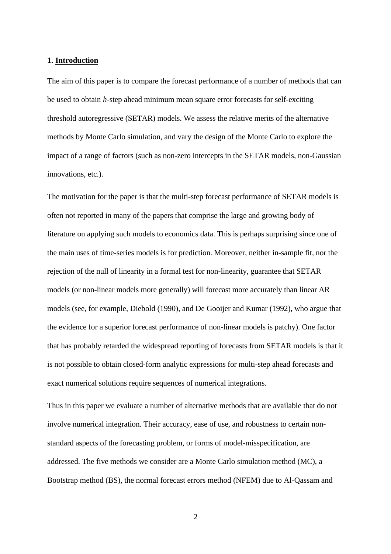### **1. Introduction**

The aim of this paper is to compare the forecast performance of a number of methods that can be used to obtain *h*-step ahead minimum mean square error forecasts for self-exciting threshold autoregressive (SETAR) models. We assess the relative merits of the alternative methods by Monte Carlo simulation, and vary the design of the Monte Carlo to explore the impact of a range of factors (such as non-zero intercepts in the SETAR models, non-Gaussian innovations, etc.).

The motivation for the paper is that the multi-step forecast performance of SETAR models is often not reported in many of the papers that comprise the large and growing body of literature on applying such models to economics data. This is perhaps surprising since one of the main uses of time-series models is for prediction. Moreover, neither in-sample fit, nor the rejection of the null of linearity in a formal test for non-linearity, guarantee that SETAR models (or non-linear models more generally) will forecast more accurately than linear AR models (see, for example, Diebold (1990), and De Gooijer and Kumar (1992), who argue that the evidence for a superior forecast performance of non-linear models is patchy). One factor that has probably retarded the widespread reporting of forecasts from SETAR models is that it is not possible to obtain closed-form analytic expressions for multi-step ahead forecasts and exact numerical solutions require sequences of numerical integrations.

Thus in this paper we evaluate a number of alternative methods that are available that do not involve numerical integration. Their accuracy, ease of use, and robustness to certain nonstandard aspects of the forecasting problem, or forms of model-misspecification, are addressed. The five methods we consider are a Monte Carlo simulation method (MC), a Bootstrap method (BS), the normal forecast errors method (NFEM) due to Al-Qassam and

2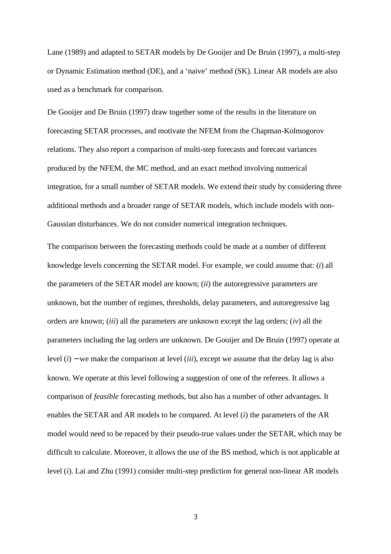Lane (1989) and adapted to SETAR models by De Gooijer and De Bruin (1997), a multi-step or Dynamic Estimation method (DE), and a 'naive' method (SK). Linear AR models are also used as a benchmark for comparison.

De Gooijer and De Bruin (1997) draw together some of the results in the literature on forecasting SETAR processes, and motivate the NFEM from the Chapman-Kolmogorov relations. They also report a comparison of multi-step forecasts and forecast variances produced by the NFEM, the MC method, and an exact method involving numerical integration, for a small number of SETAR models. We extend their study by considering three additional methods and a broader range of SETAR models, which include models with non-Gaussian disturbances. We do not consider numerical integration techniques.

The comparison between the forecasting methods could be made at a number of different knowledge levels concerning the SETAR model. For example, we could assume that: (*i*) all the parameters of the SETAR model are known; (*ii*) the autoregressive parameters are unknown, but the number of regimes, thresholds, delay parameters, and autoregressive lag orders are known; (*iii*) all the parameters are unknown except the lag orders; (*iv*) all the parameters including the lag orders are unknown. De Gooijer and De Bruin (1997) operate at level (*i*) − we make the comparison at level (*iii*), except we assume that the delay lag is also known. We operate at this level following a suggestion of one of the referees. It allows a comparison of *feasible* forecasting methods, but also has a number of other advantages. It enables the SETAR and AR models to be compared. At level (*i*) the parameters of the AR model would need to be repaced by their pseudo-true values under the SETAR, which may be difficult to calculate. Moreover, it allows the use of the BS method, which is not applicable at level (*i*). Lai and Zhu (1991) consider multi-step prediction for general non-linear AR models

3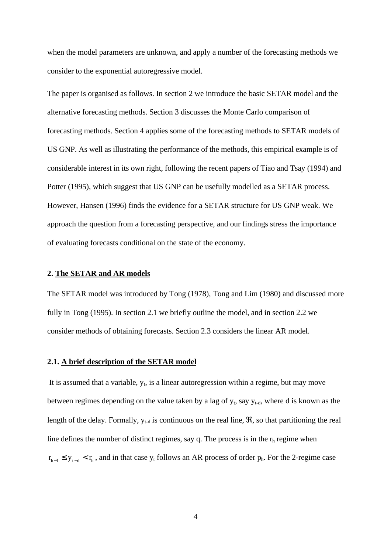when the model parameters are unknown, and apply a number of the forecasting methods we consider to the exponential autoregressive model.

The paper is organised as follows. In section 2 we introduce the basic SETAR model and the alternative forecasting methods. Section 3 discusses the Monte Carlo comparison of forecasting methods. Section 4 applies some of the forecasting methods to SETAR models of US GNP. As well as illustrating the performance of the methods, this empirical example is of considerable interest in its own right, following the recent papers of Tiao and Tsay (1994) and Potter (1995), which suggest that US GNP can be usefully modelled as a SETAR process. However, Hansen (1996) finds the evidence for a SETAR structure for US GNP weak. We approach the question from a forecasting perspective, and our findings stress the importance of evaluating forecasts conditional on the state of the economy.

### **2. The SETAR and AR models**

The SETAR model was introduced by Tong (1978), Tong and Lim (1980) and discussed more fully in Tong (1995). In section 2.1 we briefly outline the model, and in section 2.2 we consider methods of obtaining forecasts. Section 2.3 considers the linear AR model.

#### **2.1. A brief description of the SETAR model**

It is assumed that a variable,  $y_t$ , is a linear autoregression within a regime, but may move between regimes depending on the value taken by a lag of  $y_t$ , say  $y_{t-d}$ , where d is known as the length of the delay. Formally,  $y_{t-d}$  is continuous on the real line,  $\Re$ , so that partitioning the real line defines the number of distinct regimes, say q. The process is in the  $r<sub>h</sub>$  regime when  $r_{h-1} \le y_{t-d} < r_h$ , and in that case y<sub>t</sub> follows an AR process of order p<sub>h</sub>. For the 2-regime case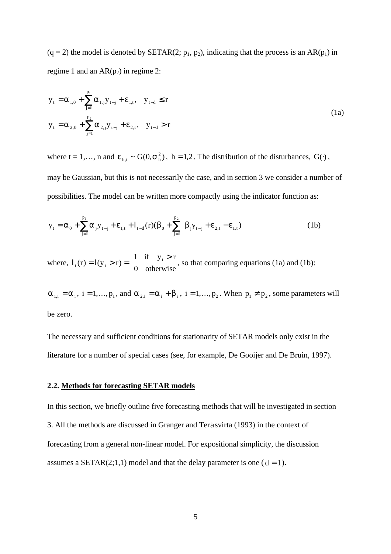$(q = 2)$  the model is denoted by SETAR(2;  $p_1$ ,  $p_2$ ), indicating that the process is an AR( $p_1$ ) in regime 1 and an  $AR(p_2)$  in regime 2:

$$
y_{t} = \alpha_{1,0} + \sum_{j=1}^{p_{1}} \alpha_{1,j} y_{t-j} + \varepsilon_{1,t}, \quad y_{t-d} \le r
$$
  

$$
y_{t} = \alpha_{2,0} + \sum_{j=1}^{p_{2}} \alpha_{2,j} y_{t-j} + \varepsilon_{2,t}, \quad y_{t-d} > r
$$
 (1a)

where t = 1,…, n and  $\varepsilon_{h,t} \sim G(0, \sigma_h^2)$ , h = 1,2. The distribution of the disturbances,  $G(\cdot)$ , may be Gaussian, but this is not necessarily the case, and in section 3 we consider a number of possibilities. The model can be written more compactly using the indicator function as:

$$
y_{t} = \alpha_{0} + \sum_{j=1}^{p_{1}} \alpha_{j} y_{t-j} + \varepsilon_{1,t} + I_{t-d}(r) (\beta_{0} + \sum_{j=1}^{p_{2}} \beta_{j} y_{t-j} + \varepsilon_{2,t} - \varepsilon_{1,t})
$$
(1b)

where,  $I_t(r) = I(y_t > r) = \begin{cases} 1 & \text{if } y_t > r \\ 0 & \text{otherwise} \end{cases}$ {  $\mathsf{L}$ 1 0 if otherwise, so that comparing equations (1a) and (1b):

 $\alpha_{1,i} = \alpha_i$ ,  $i = 1, \ldots, p_1$ , and  $\alpha_{2,i} = \alpha_i + \beta_i$ ,  $i = 1, \ldots, p_2$ . When  $p_1 \neq p_2$ , some parameters will be zero.

The necessary and sufficient conditions for stationarity of SETAR models only exist in the literature for a number of special cases (see, for example, De Gooijer and De Bruin, 1997).

# **2.2. Methods for forecasting SETAR models**

In this section, we briefly outline five forecasting methods that will be investigated in section 3. All the methods are discussed in Granger and Teräsvirta (1993) in the context of forecasting from a general non-linear model. For expositional simplicity, the discussion assumes a SETAR(2;1,1) model and that the delay parameter is one ( $d = 1$ ).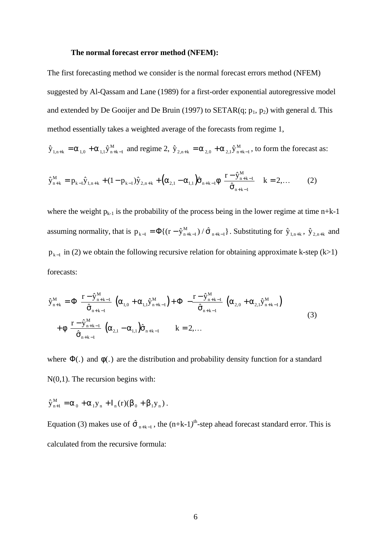### **The normal forecast error method (NFEM):**

The first forecasting method we consider is the normal forecast errors method (NFEM) suggested by Al-Qassam and Lane (1989) for a first-order exponential autoregressive model and extended by De Gooijer and De Bruin (1997) to SETAR(q;  $p_1$ ,  $p_2$ ) with general d. This method essentially takes a weighted average of the forecasts from regime 1,

$$
\hat{y}_{1,n+k} = \alpha_{1,0} + \alpha_{1,1} \hat{y}_{n+k-1}^M
$$
 and regime 2,  $\hat{y}_{2,n+k} = \alpha_{2,0} + \alpha_{2,1} \hat{y}_{n+k-1}^M$ , to form the forecast as:

$$
\hat{y}_{n+k}^{M} = p_{k-1}\hat{y}_{1,n+k} + (1 - p_{k-1})\hat{y}_{2,n+k} + (\alpha_{2,1} - \alpha_{1,1})\hat{\sigma}_{n+k-1}\phi\left(\frac{r - \hat{y}_{n+k-1}^{M}}{\hat{\sigma}_{n+k-1}}\right) k = 2,...
$$
 (2)

where the weight  $p_{k-1}$  is the probability of the process being in the lower regime at time n+k-1 assuming normality, that is  $p_{k-1} = \Phi\{(r - \hat{y}_{n+k-1}^M) / \hat{\sigma}_{n+k-1}\}\.$  Substituting for  $\hat{y}_{1,n+k}$ ,  $\hat{y}_{2,n+k}$  and  $p_{k-1}$  in (2) we obtain the following recursive relation for obtaining approximate k-step (k>1) forecasts:

$$
\hat{y}_{n+k}^{M} = \Phi \left( \frac{r - \hat{y}_{n+k-1}^{M}}{\hat{\sigma}_{n+k-1}} \right) (\alpha_{1,0} + \alpha_{1,1} \hat{y}_{n+k-1}^{M}) + \Phi \left( -\frac{r - \hat{y}_{n+k-1}^{M}}{\hat{\sigma}_{n+k-1}} \right) (\alpha_{2,0} + \alpha_{2,1} \hat{y}_{n+k-1}^{M}) + \Phi \left( \frac{r - \hat{y}_{n+k-1}^{M}}{\hat{\sigma}_{n+k-1}} \right) (\alpha_{2,1} - \alpha_{1,1}) \hat{\sigma}_{n+k-1} \qquad k = 2, ... \qquad (3)
$$

where  $\Phi(.)$  and  $\phi(.)$  are the distribution and probability density function for a standard N(0,1). The recursion begins with:

$$
\hat{y}^{\,M}_{_{n+1}} = \alpha_{_{\,0}} + \alpha_{_{1}y_{_{n}}} + I_{_{n}}(r)(\beta_{_{\,0}} + \beta_{_{1}y_{_{n}}})\,.
$$

Equation (3) makes use of  $\hat{\sigma}_{n+k-1}$ , the  $(n+k-1)^{th}$ -step ahead forecast standard error. This is calculated from the recursive formula: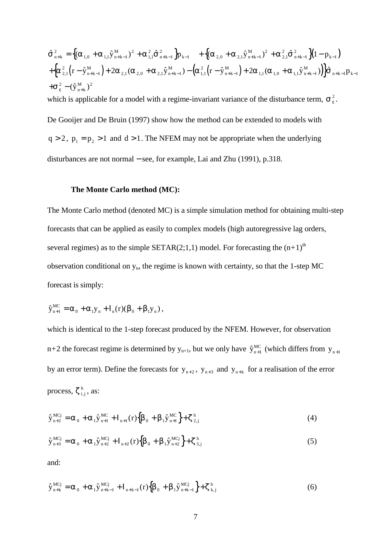$\hat{\sigma}_{n+k}^2 = \left\{ (\alpha_{1,0} + \alpha_{1,1} \hat{y}_{n+k-1}^M)^2 + \alpha_{1,1}^2 \hat{\sigma}_{n+k-1}^2 \right\} p_{k-1} + \left\{ (\alpha_{2,0} + \alpha_{2,1} \hat{y}_{n+k-1}^M)^2 + \alpha_{2,1}^2 \hat{\sigma}_{n+k-1}^2 \right\} (1 - p_{k-1})$  $\left\{\!\alpha_{2,1}^2\!\left(\mathbf{r}-\hat{\mathbf{y}}_{\mathbf{n}+\mathbf{k}-1}^\text{M}\right)\!+\!2\alpha_{2,1}(\alpha_{2,0}+\!\alpha_{2,1}\hat{\mathbf{y}}_{\mathbf{n}+\mathbf{k}-1}^\text{M})\!-\!\left(\!\alpha_{1,1}^2\!\left(\mathbf{r}-\hat{\mathbf{y}}_{\mathbf{n}+\mathbf{k}-1}^\text{M}\right)\!+\!2\alpha_{1,1}(\alpha_{1,0}+\!\alpha_{1,1}\hat{\mathbf{y}}_{\mathbf{n}+\mathbf{k}-1}^\text{M})\right)\!\right\} \!\hat{\mathbf{G}}$  $+\sigma_{\varepsilon}^{2}-(\hat{y}_{n+k}^{M})^{2}$ M  $n+k-1$   $\int P_{k-1}$   $\int \frac{1}{\omega_{2,0}}$   $\omega_{2,1}$   $\omega_{2,1}$   $\sigma_{n+k}$ M  $\mathcal{L}^2_{n+k} = \left\{ (\alpha_{1,0}^2 + \alpha_{1,1}^2 \hat{y}_{n+k-1}^M)^2 + \alpha_{1,1}^2 \hat{\sigma}_{n+k-1}^2 \right\} p_{k-1} + \left\{ (\alpha_{2,0}^2 + \alpha_{2,1}^2 \hat{y}_{n+k-1}^M)^2 + \alpha_{2,1}^2 \hat{\sigma}_{n+k-1}^2 \right\} (1 - p_{k-1})^2$ M  $n+k$ M  $n+k$ M  $n+k$ M  $+\{\alpha_{2,1}^2(r-\hat{y}^{\text{M}}_{n+k-1})+2\alpha_{2,1}(\alpha_{2,0}+\alpha_{2,1}\hat{y}^{\text{M}}_{n+k-1})-\left(\alpha_{1,1}^2(r-\hat{y}^{\text{M}}_{n+k-1})+2\alpha_{1,1}(\alpha_{1,0}+\alpha_{1,1}\hat{y}^{\text{M}}_{n+k-1})\right)\}\hat{\sigma}_{n+k-1}p_{n-k-1}$  $1,0$   $\sim$   $1,1$   $\lambda$   $n+k-1$ 2  $1,1$ 2 1 2 1  $\binom{1}{2,0}$   $\infty$  2,1  $\binom{n+k-1}{k}$ 2  $^{2,1}$ 2 1 2  $(1-p_{k-1})$ 2  $1$   $1 + 2\alpha_{2,1} \alpha_{2,0} + \alpha_{2,1} \alpha_{n+k-1}$   $\alpha_{1,1}$ 2  $2\alpha_{_{2,1}}(\alpha_{_{2,0}}+\alpha_{_{2,1}}\hat{y}^{\scriptscriptstyle M}_{_{n+k-1}})-\left(\alpha_{_{1,1}}^{\scriptscriptstyle 2}(r-\hat{y}^{\scriptscriptstyle M}_{_{n+k-1}})+2\alpha_{_{1,1}}(\alpha_{_{1,0}}+\alpha_{_{1,1}}\hat{y}^{\scriptscriptstyle M}_{_{n+k-1}})\right)\!\!\left|\hat{\sigma}_{_{n+k-1}}p_{_{k-1}}\right.$ which is applicable for a model with a regime-invariant variance of the disturbance term,  $\sigma_{\varepsilon}^2$ . De Gooijer and De Bruin (1997) show how the method can be extended to models with  $q > 2$ ,  $p_1 = p_2 > 1$  and  $d > 1$ . The NFEM may not be appropriate when the underlying disturbances are not normal − see, for example, Lai and Zhu (1991), p.318.

#### **The Monte Carlo method (MC):**

The Monte Carlo method (denoted MC) is a simple simulation method for obtaining multi-step forecasts that can be applied as easily to complex models (high autoregressive lag orders, several regimes) as to the simple SETAR(2;1,1) model. For forecasting the  $(n+1)$ <sup>th</sup> observation conditional on yn, the regime is known with certainty, so that the 1-step MC forecast is simply:

$$
\hat{y}_{n+1}^{MC} = \alpha_0 + \alpha_1 y_n + I_n(r) (\beta_0 + \beta_1 y_n) ,
$$

which is identical to the 1-step forecast produced by the NFEM. However, for observation n+2 the forecast regime is determined by  $y_{n+1}$ , but we only have  $\hat{y}_{n+1}^{MC}$  (which differs from  $y_{n+1}$ ) by an error term). Define the forecasts for  $y_{n+2}$ ,  $y_{n+3}$  and  $y_{n+k}$  for a realisation of the error process,  $\zeta_{i,j}^h$ , as:

$$
\hat{\mathbf{y}}_{n+2}^{MCj} = \alpha_0 + \alpha_1 \hat{\mathbf{y}}_{n+1}^{MC} + I_{n+1}(r) \left\{ \beta_0 + \beta_1 \hat{\mathbf{y}}_{n+1}^{MC} \right\} + \zeta_{2,j}^{h}
$$
\n(4)

$$
\hat{\mathbf{y}}_{n+3}^{\text{MCj}} = \alpha_0 + \alpha_1 \hat{\mathbf{y}}_{n+2}^{\text{MCj}} + \mathbf{I}_{n+2}(\mathbf{r}) \left\{ \beta_0 + \beta_1 \hat{\mathbf{y}}_{n+2}^{\text{MCj}} \right\} + \zeta_{3,j}^{\text{h}} \tag{5}
$$

and:

$$
\hat{\mathbf{y}}_{n+k}^{\text{MCj}} = \alpha_0 + \alpha_1 \hat{\mathbf{y}}_{n+k-1}^{\text{MCj}} + I_{n+k-1}(r) \{ \beta_0 + \beta_1 \hat{\mathbf{y}}_{n+k-1}^{\text{MCj}} \} + \zeta_{k,j}^{\text{h}} \tag{6}
$$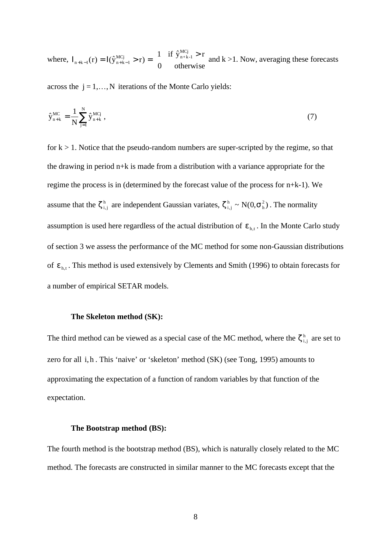where,  $I_{n+k-1}(r) = I(\hat{y}_{n+k-1}^{MC}) > r$  =  $\begin{cases} 1 & \text{if } \hat{y}_{n+k-1}^{MC} > r \\ 0 & \text{otherwise} \end{cases}$  $_{+k-1}(r) = I(\hat{y}_{n+k-1}^{MCj} > r) = \begin{cases} 1 & \text{if } \hat{y}_{n+k-1}^{MCj} > r \end{cases}$  $1^{(1)} - 1(y_{n+k-1} > 1)$  $f(r) = I(\hat{y}_{n+k-1}^{MC_1} > r) = \begin{cases} 1 & \text{if } \hat{y}_{n+k-1}^{MC_1} > r \\ 0 & \text{otherwise} \end{cases}$ n+ k-1 MCj and  $k > 1$ . Now, averaging these forecasts

across the  $j = 1, \ldots, N$  iterations of the Monte Carlo yields:

$$
\hat{y}_{n+k}^{MC} = \frac{1}{N} \sum_{j=1}^{N} \hat{y}_{n+k}^{MCj} , \qquad (7)
$$

for  $k > 1$ . Notice that the pseudo-random numbers are super-scripted by the regime, so that the drawing in period n+k is made from a distribution with a variance appropriate for the regime the process is in (determined by the forecast value of the process for n+k-1). We assume that the  $\zeta_{i,j}^h$  are independent Gaussian variates,  $\zeta_{i,j}^h \sim N(0,\sigma_h^2)$ . The normality assumption is used here regardless of the actual distribution of  $\varepsilon$ <sub>h,t</sub>. In the Monte Carlo study of section 3 we assess the performance of the MC method for some non-Gaussian distributions of  $\epsilon_{h,t}$ . This method is used extensively by Clements and Smith (1996) to obtain forecasts for a number of empirical SETAR models.

#### **The Skeleton method (SK):**

The third method can be viewed as a special case of the MC method, where the  $\zeta_{i,j}^h$  are set to zero for all i, h. This 'naive' or 'skeleton' method (SK) (see Tong, 1995) amounts to approximating the expectation of a function of random variables by that function of the expectation.

#### **The Bootstrap method (BS):**

The fourth method is the bootstrap method (BS), which is naturally closely related to the MC method. The forecasts are constructed in similar manner to the MC forecasts except that the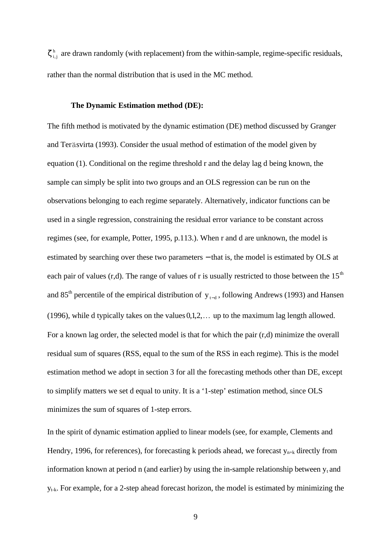$\zeta_{i,j}^h$  are drawn randomly (with replacement) from the within-sample, regime-specific residuals, rather than the normal distribution that is used in the MC method.

## **The Dynamic Estimation method (DE):**

The fifth method is motivated by the dynamic estimation (DE) method discussed by Granger and Teräsvirta (1993). Consider the usual method of estimation of the model given by equation (1). Conditional on the regime threshold r and the delay lag d being known, the sample can simply be split into two groups and an OLS regression can be run on the observations belonging to each regime separately. Alternatively, indicator functions can be used in a single regression, constraining the residual error variance to be constant across regimes (see, for example, Potter, 1995, p.113.). When r and d are unknown, the model is estimated by searching over these two parameters – that is, the model is estimated by OLS at each pair of values (r,d). The range of values of r is usually restricted to those between the  $15<sup>th</sup>$ and 85<sup>th</sup> percentile of the empirical distribution of  $y_{t-d}$ , following Andrews (1993) and Hansen (1996), while d typically takes on the values  $0, 1, 2, \ldots$  up to the maximum lag length allowed. For a known lag order, the selected model is that for which the pair (r,d) minimize the overall residual sum of squares (RSS, equal to the sum of the RSS in each regime). This is the model estimation method we adopt in section 3 for all the forecasting methods other than DE, except to simplify matters we set d equal to unity. It is a '1-step' estimation method, since OLS minimizes the sum of squares of 1-step errors.

In the spirit of dynamic estimation applied to linear models (see, for example, Clements and Hendry, 1996, for references), for forecasting k periods ahead, we forecast  $y_{n+k}$  directly from information known at period n (and earlier) by using the in-sample relationship between  $y_t$  and yt-k. For example, for a 2-step ahead forecast horizon, the model is estimated by minimizing the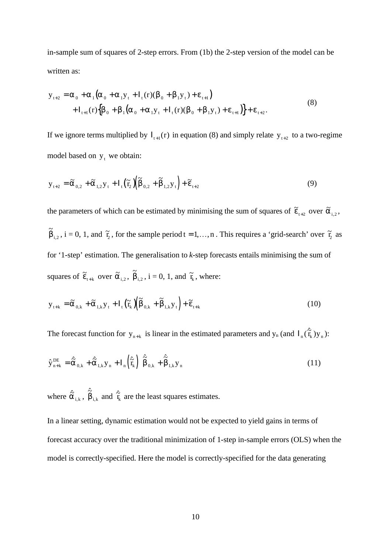in-sample sum of squares of 2-step errors. From (1b) the 2-step version of the model can be written as:

$$
y_{t+2} = \alpha_0 + \alpha_1 (\alpha_0 + \alpha_1 y_t + I_t(r) (\beta_0 + \beta_1 y_t) + \varepsilon_{t+1})
$$
  
+ 
$$
I_{t+1}(r) {\beta_0 + \beta_1 (\alpha_0 + \alpha_1 y_t + I_t(r) (\beta_0 + \beta_1 y_t) + \varepsilon_{t+1})} + \varepsilon_{t+2}.
$$
 (8)

If we ignore terms multiplied by  $I_{t+1}(r)$  in equation (8) and simply relate  $y_{t+2}$  to a two-regime model based on  $y_t$  we obtain:

$$
\mathbf{y}_{t+2} = \tilde{\alpha}_{0,2} + \tilde{\alpha}_{1,2} \mathbf{y}_t + \mathbf{I}_t (\tilde{\mathbf{r}}_2) (\tilde{\beta}_{0,2} + \tilde{\beta}_{1,2} \mathbf{y}_t) + \tilde{\boldsymbol{\epsilon}}_{t+2}
$$
(9)

the parameters of which can be estimated by minimising the sum of squares of  $\tilde{\epsilon}_{t+2}$  over  $\tilde{\alpha}_{i,2}$ ,  $\tilde{\beta}_{i,2}$ ,  $i = 0, 1$ , and  $\tilde{r}_2$ , for the sample period  $t = 1,...,n$ . This requires a 'grid-search' over  $\tilde{r}_2$  as for '1-step' estimation. The generalisation to *k*-step forecasts entails minimising the sum of squares of  $\tilde{\varepsilon}_{t+k}$  over  $\tilde{\alpha}_{i,2}$ ,  $\tilde{\beta}_{i,2}$ ,  $i = 0, 1$ , and  $\tilde{\tau}_k$ , where:

$$
\mathbf{y}_{t+k} = \widetilde{\alpha}_{0,k} + \widetilde{\alpha}_{1,k} \mathbf{y}_t + \mathbf{I}_t \left( \widetilde{\mathbf{T}}_k \right) \left( \widetilde{\beta}_{0,k} + \widetilde{\beta}_{1,k} \mathbf{y}_t \right) + \widetilde{\epsilon}_{t+k}
$$
\n(10)

The forecast function for  $y_{n+k}$  is linear in the estimated parameters and  $y_n$  (and  $I_n(\hat{\vec{r}}_k) y_n$ ):

$$
\hat{\mathbf{y}}_{n+k}^{\text{DE}} = \hat{\tilde{\alpha}}_{0,k} + \hat{\tilde{\alpha}}_{1,k} \mathbf{y}_n + \mathbf{I}_n \left( \hat{\tilde{\mathbf{f}}}_k \right) \left( \hat{\tilde{\beta}}_{0,k} + \hat{\tilde{\beta}}_{1,k} \mathbf{y}_n \right)
$$
\n(11)

where  $\hat{\tilde{\alpha}}_{i,k}$ ,  $\hat{\tilde{\beta}}_{i,k}$  and  $\hat{\tilde{\tau}}_{k}$  are the least squares estimates.

In a linear setting, dynamic estimation would not be expected to yield gains in terms of forecast accuracy over the traditional minimization of 1-step in-sample errors (OLS) when the model is correctly-specified. Here the model is correctly-specified for the data generating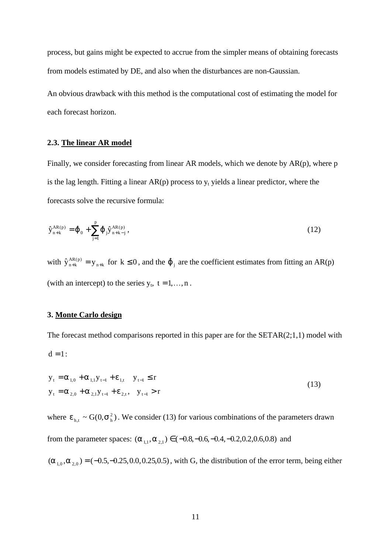process, but gains might be expected to accrue from the simpler means of obtaining forecasts from models estimated by DE, and also when the disturbances are non-Gaussian.

An obvious drawback with this method is the computational cost of estimating the model for each forecast horizon.

# **2.3. The linear AR model**

Finally, we consider forecasting from linear AR models, which we denote by AR(p), where p is the lag length. Fitting a linear  $AR(p)$  process to  $y_t$  yields a linear predictor, where the forecasts solve the recursive formula:

$$
\hat{y}_{n+k}^{AR(p)} = \hat{\phi}_0 + \sum_{j=1}^{p} \hat{\phi}_j \hat{y}_{n+k-j}^{AR(p)},
$$
\n(12)

with  $\hat{y}_{n+k}^{AR(p)} = y_{n+k}$  for  $k \le 0$ , and the  $\hat{\varphi}_j$  are the coefficient estimates from fitting an AR(p) (with an intercept) to the series  $y_t$ ,  $t = 1, ..., n$ .

# **3. Monte Carlo design**

The forecast method comparisons reported in this paper are for the SETAR(2;1,1) model with  $d = 1$ :

$$
y_{t} = \alpha_{1,0} + \alpha_{1,1} y_{t-1} + \varepsilon_{1,t} \quad y_{t-1} \le r
$$
  
\n
$$
y_{t} = \alpha_{2,0} + \alpha_{2,1} y_{t-1} + \varepsilon_{2,t}, \quad y_{t-1} > r
$$
\n(13)

where  $\varepsilon_{h,t} \sim G(0,\sigma_h^2)$ . We consider (13) for various combinations of the parameters drawn from the parameter spaces:  $(\alpha_{1,1}, \alpha_{2,1}) \in (-0.8, -0.6, -0.4, -0.2, 0.2, 0.6, 0.8)$  and

 $(\alpha_{1,0}, \alpha_{2,0})$  = (-0.5, -0.25, 0.0, 0.25, 0.5), with G, the distribution of the error term, being either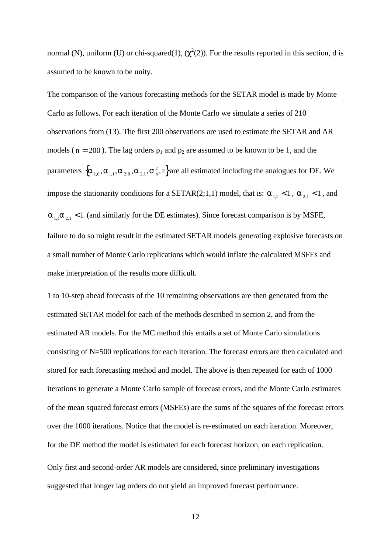normal (N), uniform (U) or chi-squared(1),  $(\chi^2(2))$ . For the results reported in this section, d is assumed to be known to be unity.

The comparison of the various forecasting methods for the SETAR model is made by Monte Carlo as follows. For each iteration of the Monte Carlo we simulate a series of 210 observations from (13). The first 200 observations are used to estimate the SETAR and AR models ( $n = 200$ ). The lag orders  $p_1$  and  $p_2$  are assumed to be known to be 1, and the parameters  $\{\alpha_{1,0}, \alpha_{1,1}, \alpha_{2,0}, \alpha_{2,1}, \sigma^2_{\rm h}, r\}$  are all estimated including the analogues for DE. We impose the stationarity conditions for a SETAR(2;1,1) model, that is:  $\alpha_{1,1} < 1$ ,  $\alpha_{2,1} < 1$ , and  $\alpha_{1,1} \alpha_{2,1}$  < 1 (and similarly for the DE estimates). Since forecast comparison is by MSFE, failure to do so might result in the estimated SETAR models generating explosive forecasts on a small number of Monte Carlo replications which would inflate the calculated MSFEs and make interpretation of the results more difficult.

1 to 10-step ahead forecasts of the 10 remaining observations are then generated from the estimated SETAR model for each of the methods described in section 2, and from the estimated AR models. For the MC method this entails a set of Monte Carlo simulations consisting of N=500 replications for each iteration. The forecast errors are then calculated and stored for each forecasting method and model. The above is then repeated for each of 1000 iterations to generate a Monte Carlo sample of forecast errors, and the Monte Carlo estimates of the mean squared forecast errors (MSFEs) are the sums of the squares of the forecast errors over the 1000 iterations. Notice that the model is re-estimated on each iteration. Moreover, for the DE method the model is estimated for each forecast horizon, on each replication. Only first and second-order AR models are considered, since preliminary investigations suggested that longer lag orders do not yield an improved forecast performance.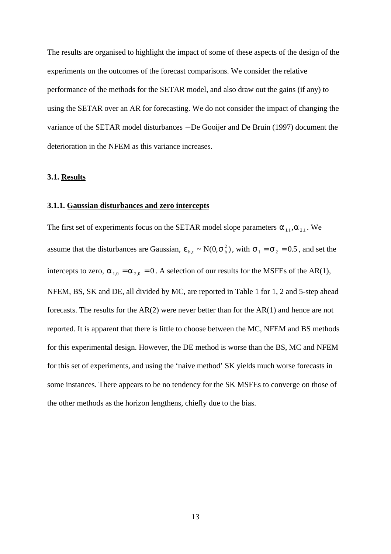The results are organised to highlight the impact of some of these aspects of the design of the experiments on the outcomes of the forecast comparisons. We consider the relative performance of the methods for the SETAR model, and also draw out the gains (if any) to using the SETAR over an AR for forecasting. We do not consider the impact of changing the variance of the SETAR model disturbances − De Gooijer and De Bruin (1997) document the deterioration in the NFEM as this variance increases.

## **3.1. Results**

# **3.1.1. Gaussian disturbances and zero intercepts**

The first set of experiments focus on the SETAR model slope parameters  $\alpha_{1,1}, \alpha_{2,1}$ . We assume that the disturbances are Gaussian,  $\epsilon_{h,t} \sim N(0, \sigma_h^2)$ , with  $\sigma_1 = \sigma_2 = 0.5$ , and set the intercepts to zero,  $\alpha_{10} = \alpha_{20} = 0$ . A selection of our results for the MSFEs of the AR(1), NFEM, BS, SK and DE, all divided by MC, are reported in Table 1 for 1, 2 and 5-step ahead forecasts. The results for the AR(2) were never better than for the AR(1) and hence are not reported. It is apparent that there is little to choose between the MC, NFEM and BS methods for this experimental design. However, the DE method is worse than the BS, MC and NFEM for this set of experiments, and using the 'naive method' SK yields much worse forecasts in some instances. There appears to be no tendency for the SK MSFEs to converge on those of the other methods as the horizon lengthens, chiefly due to the bias.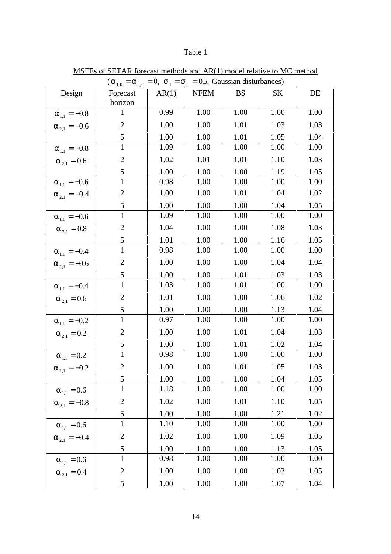# Table 1

|                          | $\sqrt{210}$ $\approx 2.0$ | $\sim$ 2 |          | $\infty$ , Saassian aistarvances, |      |      |
|--------------------------|----------------------------|----------|----------|-----------------------------------|------|------|
| Design                   | Forecast<br>horizon        | AR(1)    | NFEM     | <b>BS</b>                         | SK   | DE   |
| $\alpha_{1,1} = -0.8$    | $\mathbf{1}$               | 0.99     | 1.00     | 1.00                              | 1.00 | 1.00 |
| $\alpha_{2,1} = -0.6$    | $\mathbf{2}$               | 1.00     | 1.00     | 1.01                              | 1.03 | 1.03 |
|                          | 5                          | 1.00     | 1.00     | 1.01                              | 1.05 | 1.04 |
| $\alpha_{1,1} = -0.8$    | $\mathbf{1}$               | 1.09     | 1.00     | 1.00                              | 1.00 | 1.00 |
| $\alpha_{2.1} = 0.6$     | $\mathbf{2}$               | 1.02     | 1.01     | 1.01                              | 1.10 | 1.03 |
|                          | 5                          | 1.00     | 1.00     | 1.00                              | 1.19 | 1.05 |
| $\alpha_{_{1,1}} = -0.6$ | $\mathbf{1}$               | 0.98     | 1.00     | 1.00                              | 1.00 | 1.00 |
| $\alpha_{2,1} = -0.4$    | $\mathbf{2}$               | 1.00     | 1.00     | 1.01                              | 1.04 | 1.02 |
|                          | $\mathfrak s$              | 1.00     | 1.00     | 1.00                              | 1.04 | 1.05 |
| $\alpha_{1,1} = -0.6$    | $\mathbf{1}$               | 1.09     | 1.00     | 1.00                              | 1.00 | 1.00 |
| $\alpha_{2,1} = 0.8$     | $\overline{2}$             | 1.04     | 1.00     | 1.00                              | 1.08 | 1.03 |
|                          | 5                          | 1.01     | 1.00     | 1.00                              | 1.16 | 1.05 |
| $\alpha_{_{1,1}} = -0.4$ | $\mathbf{1}$               | 0.98     | 1.00     | 1.00                              | 1.00 | 1.00 |
| $\alpha_{2,1} = -0.6$    | $\mathbf{2}$               | 1.00     | 1.00     | 1.00                              | 1.04 | 1.04 |
|                          | 5                          | 1.00     | 1.00     | 1.01                              | 1.03 | 1.03 |
| $\alpha_{1,1} = -0.4$    | $\overline{1}$             | 1.03     | 1.00     | 1.01                              | 1.00 | 1.00 |
| $\alpha_{2,1} = 0.6$     | $\mathbf{2}$               | 1.01     | 1.00     | 1.00                              | 1.06 | 1.02 |
|                          | 5                          | 1.00     | 1.00     | 1.00                              | 1.13 | 1.04 |
| $\alpha_{1,1} = -0.2$    | $\mathbf{1}$               | 0.97     | $1.00\,$ | $1.00\,$                          | 1.00 | 1.00 |
| $\alpha_{2,1} = 0.2$     | $\boldsymbol{2}$           | 1.00     | 1.00     | 1.01                              | 1.04 | 1.03 |
|                          | $\mathfrak{S}$             | 1.00     | 1.00     | 1.01                              | 1.02 | 1.04 |
| $\alpha_{_{1,1}}=0.2$    | $\mathbf{1}$               | 0.98     | 1.00     | 1.00                              | 1.00 | 1.00 |
| $\alpha_{2,1} = -0.2$    | $\mathbf{2}$               | 1.00     | 1.00     | 1.01                              | 1.05 | 1.03 |
|                          | 5                          | 1.00     | 1.00     | 1.00                              | 1.04 | 1.05 |
| $\alpha_{_{1,1}} = 0.6$  | 1                          | 1.18     | 1.00     | 1.00                              | 1.00 | 1.00 |
| $\alpha_{2,1} = -0.8$    | $\overline{2}$             | 1.02     | 1.00     | 1.01                              | 1.10 | 1.05 |
|                          | 5                          | 1.00     | 1.00     | 1.00                              | 1.21 | 1.02 |
| $\alpha_{_{1,1}} = 0.6$  | $\mathbf{1}$               | 1.10     | 1.00     | 1.00                              | 1.00 | 1.00 |
| $\alpha_{2,1} = -0.4$    | $\overline{c}$             | 1.02     | 1.00     | 1.00                              | 1.09 | 1.05 |
|                          | $\mathfrak{S}$             | 1.00     | 1.00     | 1.00                              | 1.13 | 1.05 |
| $\alpha_{1,1} = 0.6$     | $\mathbf{1}$               | 0.98     | 1.00     | 1.00                              | 1.00 | 1.00 |
| $\alpha_{2,1} = 0.4$     | $\mathbf{2}$               | 1.00     | 1.00     | 1.00                              | 1.03 | 1.05 |
|                          | 5                          | 1.00     | 1.00     | 1.00                              | 1.07 | 1.04 |

MSFEs of SETAR forecast methods and AR(1) model relative to MC method  $(\alpha_{10} = \alpha_{20} = 0, \sigma_1 = \sigma_2 = 0.5,$  Gaussian disturbances)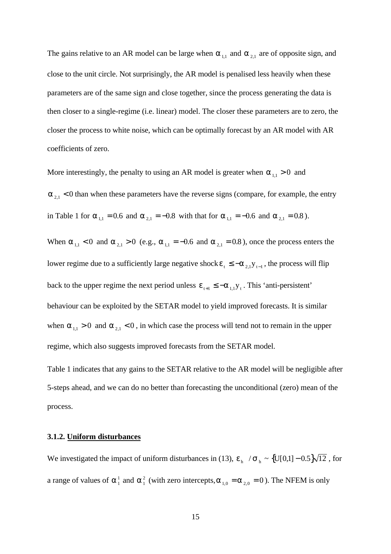The gains relative to an AR model can be large when  $\alpha_{1,1}$  and  $\alpha_{2,1}$  are of opposite sign, and close to the unit circle. Not surprisingly, the AR model is penalised less heavily when these parameters are of the same sign and close together, since the process generating the data is then closer to a single-regime (i.e. linear) model. The closer these parameters are to zero, the closer the process to white noise, which can be optimally forecast by an AR model with AR coefficients of zero.

More interestingly, the penalty to using an AR model is greater when  $\alpha_{1,1} > 0$  and  $\alpha_{2,1}$  < 0 than when these parameters have the reverse signs (compare, for example, the entry in Table 1 for  $\alpha_{1,1} = 0.6$  and  $\alpha_{2,1} = -0.8$  with that for  $\alpha_{1,1} = -0.6$  and  $\alpha_{2,1} = 0.8$ ).

When  $\alpha_{1,1} < 0$  and  $\alpha_{2,1} > 0$  (e.g.,  $\alpha_{1,1} = -0.6$  and  $\alpha_{2,1} = 0.8$ ), once the process enters the lower regime due to a sufficiently large negative shock  $\varepsilon_1 \le -\alpha_{2,1} y_{1-1}$ , the process will flip back to the upper regime the next period unless  $\varepsilon_{t+1} \le -\alpha_{1,1} y_t$ . This 'anti-persistent' behaviour can be exploited by the SETAR model to yield improved forecasts. It is similar when  $\alpha_{1,1} > 0$  and  $\alpha_{2,1} < 0$ , in which case the process will tend not to remain in the upper regime, which also suggests improved forecasts from the SETAR model.

Table 1 indicates that any gains to the SETAR relative to the AR model will be negligible after 5-steps ahead, and we can do no better than forecasting the unconditional (zero) mean of the process.

# **3.1.2. Uniform disturbances**

We investigated the impact of uniform disturbances in (13),  $\varepsilon$ <sub>h</sub>  $/ \sigma$ <sub>h</sub> ~ {U[0,1] – 0.5} $\sqrt{12}$ , for a range of values of  $\alpha_1^1$  and  $\alpha_1^2$  (with zero intercepts,  $\alpha_{1,0} = \alpha_{2,0} = 0$ ). The NFEM is only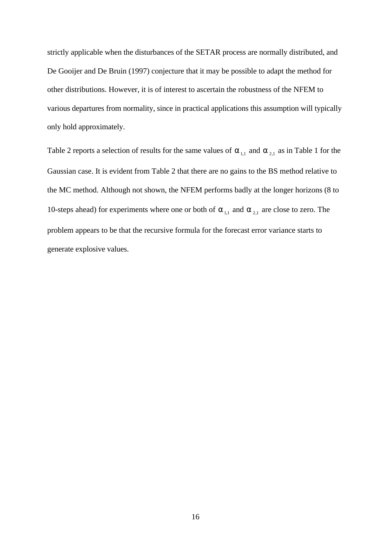strictly applicable when the disturbances of the SETAR process are normally distributed, and De Gooijer and De Bruin (1997) conjecture that it may be possible to adapt the method for other distributions. However, it is of interest to ascertain the robustness of the NFEM to various departures from normality, since in practical applications this assumption will typically only hold approximately.

Table 2 reports a selection of results for the same values of  $\alpha_{1,1}$  and  $\alpha_{2,1}$  as in Table 1 for the Gaussian case. It is evident from Table 2 that there are no gains to the BS method relative to the MC method. Although not shown, the NFEM performs badly at the longer horizons (8 to 10-steps ahead) for experiments where one or both of  $\alpha_{1,1}$  and  $\alpha_{2,1}$  are close to zero. The problem appears to be that the recursive formula for the forecast error variance starts to generate explosive values.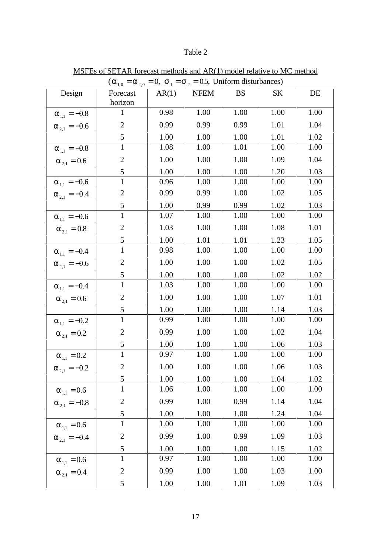# Table 2

| $(\alpha_{1,0} = \alpha_{2,0} = 0, \sigma_1 = \sigma_2 = 0.5,$ Uniform disturbances) |                     |       |      |           |      |      |  |  |  |  |
|--------------------------------------------------------------------------------------|---------------------|-------|------|-----------|------|------|--|--|--|--|
| Design                                                                               | Forecast<br>horizon | AR(1) | NFEM | <b>BS</b> | SK   | DE   |  |  |  |  |
| $\alpha_{1,1} = -0.8$                                                                | $\mathbf{1}$        | 0.98  | 1.00 | 1.00      | 1.00 | 1.00 |  |  |  |  |
| $\alpha_{2,1} = -0.6$                                                                | $\overline{2}$      | 0.99  | 0.99 | 0.99      | 1.01 | 1.04 |  |  |  |  |
|                                                                                      | $\mathfrak{S}$      | 1.00  | 1.00 | 1.00      | 1.01 | 1.02 |  |  |  |  |
| $\alpha_{1,1} = -0.8$                                                                | $\mathbf{1}$        | 1.08  | 1.00 | 1.01      | 1.00 | 1.00 |  |  |  |  |
| $\alpha_{2,1} = 0.6$                                                                 | $\mathbf{2}$        | 1.00  | 1.00 | 1.00      | 1.09 | 1.04 |  |  |  |  |
|                                                                                      | 5                   | 1.00  | 1.00 | 1.00      | 1.20 | 1.03 |  |  |  |  |
| $\alpha_{1,1} = -0.6$                                                                | $\mathbf{1}$        | 0.96  | 1.00 | 1.00      | 1.00 | 1.00 |  |  |  |  |
| $\alpha_{2,1} = -0.4$                                                                | $\mathbf{2}$        | 0.99  | 0.99 | 1.00      | 1.02 | 1.05 |  |  |  |  |
|                                                                                      | 5                   | 1.00  | 0.99 | 0.99      | 1.02 | 1.03 |  |  |  |  |
| $\alpha_{1,1} = -0.6$                                                                | $\mathbf{1}$        | 1.07  | 1.00 | 1.00      | 1.00 | 1.00 |  |  |  |  |
| $\alpha_{2,1} = 0.8$                                                                 | $\mathbf{2}$        | 1.03  | 1.00 | 1.00      | 1.08 | 1.01 |  |  |  |  |
|                                                                                      | $\mathfrak s$       | 1.00  | 1.01 | 1.01      | 1.23 | 1.05 |  |  |  |  |
| $\alpha_{1,1} = -0.4$                                                                | $\mathbf{1}$        | 0.98  | 1.00 | 1.00      | 1.00 | 1.00 |  |  |  |  |
| $\alpha_{2,1} = -0.6$                                                                | $\mathbf{2}$        | 1.00  | 1.00 | 1.00      | 1.02 | 1.05 |  |  |  |  |
|                                                                                      | 5                   | 1.00  | 1.00 | 1.00      | 1.02 | 1.02 |  |  |  |  |
| $\alpha_{1,1} = -0.4$                                                                | $\mathbf{1}$        | 1.03  | 1.00 | 1.00      | 1.00 | 1.00 |  |  |  |  |
| $\alpha_{2,1} = 0.6$                                                                 | $\overline{c}$      | 1.00  | 1.00 | 1.00      | 1.07 | 1.01 |  |  |  |  |
|                                                                                      | $\mathfrak{S}$      | 1.00  | 1.00 | 1.00      | 1.14 | 1.03 |  |  |  |  |
| $\alpha_{1,1} = -0.2$                                                                | $\mathbf{1}$        | 0.99  | 1.00 | 1.00      | 1.00 | 1.00 |  |  |  |  |
| $\alpha_{2,1} = 0.2$                                                                 | $\mathbf{2}$        | 0.99  | 1.00 | 1.00      | 1.02 | 1.04 |  |  |  |  |
|                                                                                      | 5                   | 1.00  | 1.00 | 1.00      | 1.06 | 1.03 |  |  |  |  |
| $\alpha_{1,1} = 0.2$                                                                 | $\mathbf{1}$        | 0.97  | 1.00 | 1.00      | 1.00 | 1.00 |  |  |  |  |
| $\alpha_{2,1} = -0.2$                                                                | $\sqrt{2}$          | 1.00  | 1.00 | 1.00      | 1.06 | 1.03 |  |  |  |  |
|                                                                                      | $\mathfrak{S}$      | 1.00  | 1.00 | 1.00      | 1.04 | 1.02 |  |  |  |  |
| $\alpha_{_{1,1}} = 0.6$                                                              | $\mathbf{1}$        | 1.06  | 1.00 | 1.00      | 1.00 | 1.00 |  |  |  |  |
| $\alpha_{2,1} = -0.8$                                                                | $\mathbf{2}$        | 0.99  | 1.00 | 0.99      | 1.14 | 1.04 |  |  |  |  |
|                                                                                      | 5                   | 1.00  | 1.00 | 1.00      | 1.24 | 1.04 |  |  |  |  |
| $\alpha_{1,1} = 0.6$                                                                 | $\mathbf{1}$        | 1.00  | 1.00 | 1.00      | 1.00 | 1.00 |  |  |  |  |
| $\alpha_{2,1} = -0.4$                                                                | $\mathbf{2}$        | 0.99  | 1.00 | 0.99      | 1.09 | 1.03 |  |  |  |  |
|                                                                                      | 5                   | 1.00  | 1.00 | 1.00      | 1.15 | 1.02 |  |  |  |  |
| $\alpha_{1,1} = 0.6$                                                                 | $\mathbf{1}$        | 0.97  | 1.00 | 1.00      | 1.00 | 1.00 |  |  |  |  |
| $\alpha_{_{2,1}}=0.4$                                                                | $\mathbf{2}$        | 0.99  | 1.00 | 1.00      | 1.03 | 1.00 |  |  |  |  |
|                                                                                      | 5                   | 1.00  | 1.00 | 1.01      | 1.09 | 1.03 |  |  |  |  |

MSFEs of SETAR forecast methods and AR(1) model relative to MC method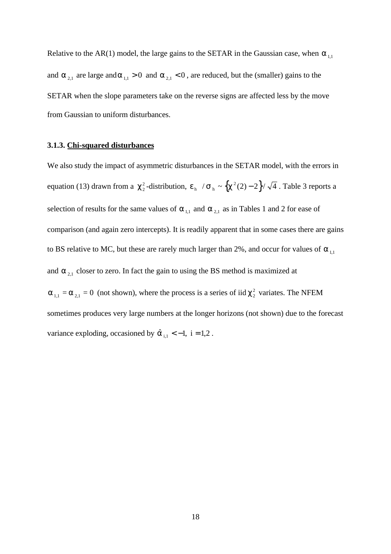Relative to the AR(1) model, the large gains to the SETAR in the Gaussian case, when  $\alpha_{1,1}$ and  $\alpha_{2,1}$  are large and  $\alpha_{1,1} > 0$  and  $\alpha_{2,1} < 0$ , are reduced, but the (smaller) gains to the SETAR when the slope parameters take on the reverse signs are affected less by the move from Gaussian to uniform disturbances.

#### **3.1.3. Chi-squared disturbances**

We also study the impact of asymmetric disturbances in the SETAR model, with the errors in equation (13) drawn from a  $\chi^2$ -distribution,  $\varepsilon$ <sub>h</sub>  $/\sigma$ <sub>h</sub>  $\sim \left\{\chi^2(2)-2\right\}/\sqrt{4}$ . Table 3 reports a selection of results for the same values of  $\alpha_{1,1}$  and  $\alpha_{2,1}$  as in Tables 1 and 2 for ease of comparison (and again zero intercepts). It is readily apparent that in some cases there are gains to BS relative to MC, but these are rarely much larger than 2%, and occur for values of  $\alpha_{11}$ and  $\alpha_{2,1}$  closer to zero. In fact the gain to using the BS method is maximized at  $\alpha_{1,1} = \alpha_{2,1} = 0$  (not shown), where the process is a series of iid  $\chi^2$  variates. The NFEM sometimes produces very large numbers at the longer horizons (not shown) due to the forecast variance exploding, occasioned by  $\hat{\alpha}_{i,1} < -1$ , i = 1,2.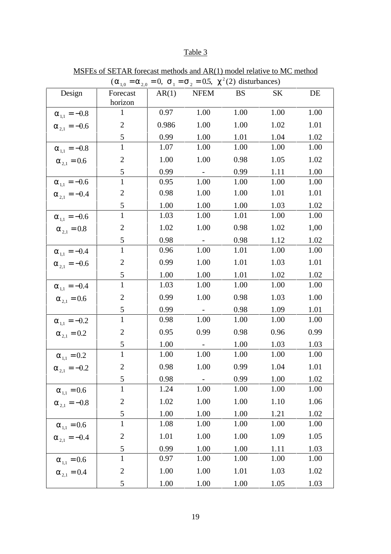# Table 3

| $(\alpha_{1,0} = \alpha_{2,0} = 0, \sigma_1 = \sigma_2 = 0.5, \chi^2(2)$ disturbances) |                         |       |                 |           |      |      |  |  |  |  |
|----------------------------------------------------------------------------------------|-------------------------|-------|-----------------|-----------|------|------|--|--|--|--|
| Design                                                                                 | Forecast                | AR(1) | <b>NFEM</b>     | <b>BS</b> | SK   | DE   |  |  |  |  |
|                                                                                        | horizon                 |       |                 |           |      |      |  |  |  |  |
| $\alpha_{1,1} = -0.8$                                                                  | $\mathbf{1}$            | 0.97  | 1.00            | 1.00      | 1.00 | 1.00 |  |  |  |  |
| $\alpha_{2.1} = -0.6$                                                                  | $\overline{2}$          | 0.986 | 1.00            | 1.00      | 1.02 | 1.01 |  |  |  |  |
|                                                                                        | 5                       | 0.99  | 1.00            | 1.01      | 1.04 | 1.02 |  |  |  |  |
| $\alpha_{1,1} = -0.8$                                                                  | $\mathbf{1}$            | 1.07  | 1.00            | 1.00      | 1.00 | 1.00 |  |  |  |  |
| $\alpha_{2,1} = 0.6$                                                                   | $\mathbf{2}$            | 1.00  | 1.00            | 0.98      | 1.05 | 1.02 |  |  |  |  |
|                                                                                        | 5                       | 0.99  | $\sim 10^{-10}$ | 0.99      | 1.11 | 1.00 |  |  |  |  |
| $\alpha_{1,1} = -0.6$                                                                  | $\mathbf{1}$            | 0.95  | 1.00            | 1.00      | 1.00 | 1.00 |  |  |  |  |
| $\alpha_{2,1} = -0.4$                                                                  | $\mathbf{2}$            | 0.98  | 1.00            | 1.00      | 1.01 | 1.01 |  |  |  |  |
|                                                                                        | 5                       | 1.00  | 1.00            | 1.00      | 1.03 | 1.02 |  |  |  |  |
| $\alpha_{1,1} = -0.6$                                                                  | $\mathbf{1}$            | 1.03  | 1.00            | 1.01      | 1.00 | 1.00 |  |  |  |  |
| $\alpha_{2,1} = 0.8$                                                                   | $\mathbf{2}$            | 1.02  | 1.00            | 0.98      | 1.02 | 1,00 |  |  |  |  |
|                                                                                        | $\overline{5}$          | 0.98  |                 | 0.98      | 1.12 | 1.02 |  |  |  |  |
| $\alpha_{_{1,1}} = -0.4$                                                               | $\overline{1}$          | 0.96  | 1.00            | 1.01      | 1.00 | 1.00 |  |  |  |  |
| $\alpha_{2,1} = -0.6$                                                                  | $\mathbf{2}$            | 0.99  | 1.00            | 1.01      | 1.03 | 1.01 |  |  |  |  |
|                                                                                        | 5                       | 1.00  | 1.00            | 1.01      | 1.02 | 1.02 |  |  |  |  |
| $\alpha_{1,1} = -0.4$                                                                  | $\mathbf{1}$            | 1.03  | 1.00            | 1.00      | 1.00 | 1.00 |  |  |  |  |
| $\alpha_{2,1} = 0.6$                                                                   | $\mathbf{2}$            | 0.99  | 1.00            | 0.98      | 1.03 | 1.00 |  |  |  |  |
|                                                                                        | $\mathfrak s$           | 0.99  |                 | 0.98      | 1.09 | 1.01 |  |  |  |  |
| $\alpha_{1,1} = -0.2$                                                                  | $\mathbf{1}$            | 0.98  | 1.00            | 1.00      | 1.00 | 1.00 |  |  |  |  |
| $\alpha_{2,1} = 0.2$                                                                   | $\mathfrak{2}$          | 0.95  | 0.99            | 0.98      | 0.96 | 0.99 |  |  |  |  |
|                                                                                        | 5                       | 1.00  | $\sim$          | 1.00      | 1.03 | 1.03 |  |  |  |  |
| $\alpha_{1,1} = 0.2$                                                                   | $\mathbf{1}$            | 1.00  | 1.00            | 1.00      | 1.00 | 1.00 |  |  |  |  |
| $\alpha_{2,1} = -0.2$                                                                  | $\mathbf{2}$            | 0.98  | 1.00            | 0.99      | 1.04 | 1.01 |  |  |  |  |
|                                                                                        | 5                       | 0.98  |                 | 0.99      | 1.00 | 1.02 |  |  |  |  |
| $\alpha_{1,1} = 0.6$                                                                   | $\mathbf{1}$            | 1.24  | 1.00            | 1.00      | 1.00 | 1.00 |  |  |  |  |
| $\alpha_{2,1} = -0.8$                                                                  | $\overline{c}$          | 1.02  | 1.00            | 1.00      | 1.10 | 1.06 |  |  |  |  |
|                                                                                        | $\overline{\mathbf{5}}$ | 1.00  | 1.00            | 1.00      | 1.21 | 1.02 |  |  |  |  |
| $\alpha_{1,1} = 0.6$                                                                   | $\mathbf{1}$            | 1.08  | 1.00            | 1.00      | 1.00 | 1.00 |  |  |  |  |
| $\alpha_{2,1} = -0.4$                                                                  | $\mathbf{2}$            | 1.01  | 1.00            | 1.00      | 1.09 | 1.05 |  |  |  |  |
|                                                                                        | 5                       | 0.99  | 1.00            | 1.00      | 1.11 | 1.03 |  |  |  |  |
| $\alpha_{1,1} = 0.6$                                                                   | $\mathbf{1}$            | 0.97  | 1.00            | 1.00      | 1.00 | 1.00 |  |  |  |  |
| $\alpha_{2,1} = 0.4$                                                                   | $\boldsymbol{2}$        | 1.00  | 1.00            | 1.01      | 1.03 | 1.02 |  |  |  |  |
|                                                                                        | $\mathfrak{S}$          | 1.00  | 1.00            | 1.00      | 1.05 | 1.03 |  |  |  |  |

MSFEs of SETAR forecast methods and AR(1) model relative to MC method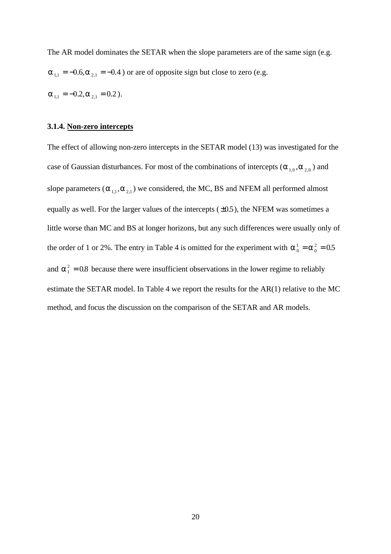The AR model dominates the SETAR when the slope parameters are of the same sign (e.g.  $\alpha_{1,1} = -0.6$ ,  $\alpha_{2,1} = -0.4$ ) or are of opposite sign but close to zero (e.g.  $\alpha_{11} = -0.2, \alpha_{21} = 0.2$ ).

# **3.1.4. Non-zero intercepts**

The effect of allowing non-zero intercepts in the SETAR model (13) was investigated for the case of Gaussian disturbances. For most of the combinations of intercepts ( $\alpha_{1,0}, \alpha_{2,0}$ ) and slope parameters ( $\alpha_{1,1}, \alpha_{2,1}$ ) we considered, the MC, BS and NFEM all performed almost equally as well. For the larger values of the intercepts  $(\pm 0.5)$ , the NFEM was sometimes a little worse than MC and BS at longer horizons, but any such differences were usually only of the order of 1 or 2%. The entry in Table 4 is omitted for the experiment with  $\alpha_0^1 = \alpha$  $=\alpha_0^2 = 0.5$ and  $\alpha_1^2 = 0.8$  because there were insufficient observations in the lower regime to reliably estimate the SETAR model. In Table 4 we report the results for the AR(1) relative to the MC method, and focus the discussion on the comparison of the SETAR and AR models.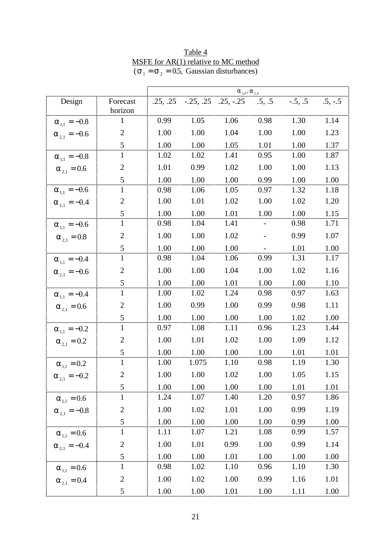|                          |                | $\alpha_{_{1,0}}, \alpha_{_{2,0}}$ |       |                                             |                          |           |           |
|--------------------------|----------------|------------------------------------|-------|---------------------------------------------|--------------------------|-----------|-----------|
| Design                   | Forecast       |                                    |       | $.25, .25$ $-.25, .25$ $.25, -.25$ $.5, .5$ |                          | $-.5, .5$ | $.5, -.5$ |
|                          | horizon        |                                    |       |                                             |                          |           |           |
| $\alpha_{_{1,1}} = -0.8$ | $\mathbf{1}$   | 0.99                               | 1.05  | 1.06                                        | 0.98                     | 1.30      | 1.14      |
| $\alpha_{2,1} = -0.6$    | $\overline{2}$ | 1.00                               | 1.00  | 1.04                                        | 1.00                     | 1.00      | 1.23      |
|                          | 5              | 1.00                               | 1.00  | 1.05                                        | 1.01                     | 1.00      | 1.37      |
| $\alpha_{1,1} = -0.8$    | $\mathbf{1}$   | 1.02                               | 1.02  | 1.41                                        | 0.95                     | 1.00      | 1.87      |
| $\alpha_{2.1} = 0.6$     | $\mathfrak{2}$ | 1.01                               | 0.99  | 1.02                                        | 1.00                     | 1.00      | 1.13      |
|                          | 5              | 1.00                               | 1.00  | 1.00                                        | 0.99                     | 1.00      | 1.00      |
| $\alpha_{_{1,1}} = -0.6$ | $\mathbf{1}$   | 0.98                               | 1.06  | 1.05                                        | 0.97                     | 1.32      | 1.18      |
| $\alpha_{2,1} = -0.4$    | $\mathbf{2}$   | 1.00                               | 1.01  | 1.02                                        | 1.00                     | 1.02      | 1.20      |
|                          | 5              | 1.00                               | 1.00  | 1.01                                        | 1.00                     | 1.00      | 1.15      |
| $\alpha_{1,1} = -0.6$    | $\mathbf{1}$   | 0.98                               | 1.04  | 1.41                                        |                          | 0.98      | 1.71      |
| $\alpha_{2.1} = 0.8$     | $\overline{2}$ | 1.00                               | 1.00  | 1.02                                        | $\overline{\phantom{a}}$ | 0.99      | 1.07      |
|                          | 5              | 1.00                               | 1.00  | 1.00                                        |                          | 1.01      | 1.00      |
| $\alpha_{1,1} = -0.4$    | $\mathbf{1}$   | 0.98                               | 1.04  | 1.06                                        | 0.99                     | 1.31      | 1.17      |
| $\alpha_{2,1} = -0.6$    | $\overline{2}$ | 1.00                               | 1.00  | 1.04                                        | 1.00                     | 1.02      | 1.16      |
|                          | 5              | 1.00                               | 1.00  | 1.01                                        | 1.00                     | 1.00      | 1.10      |
| $\alpha_{1,1} = -0.4$    | $\mathbf{1}$   | 1.00                               | 1.02  | 1.24                                        | 0.98                     | 0.97      | 1.63      |
| $\alpha_{2.1} = 0.6$     | $\overline{2}$ | 1.00                               | 0.99  | 1.00                                        | 0.99                     | 0.98      | 1.11      |
|                          | 5              | 1.00                               | 1.00  | 1.00                                        | 1.00                     | 1.02      | 1.00      |
| $\alpha_{1,1} = -0.2$    | $\mathbf{1}$   | 0.97                               | 1.08  | 1.11                                        | 0.96                     | 1.23      | 1.44      |
| $\alpha_{2,1} = 0.2$     | $\overline{2}$ | 1.00                               | 1.01  | 1.02                                        | 1.00                     | 1.09      | 1.12      |
|                          | 5              | 1.00                               | 1.00  | 1.00                                        | 1.00                     | 1.01      | 1.01      |
| $\alpha_{_{1,1}} = 0.2$  | $\mathbf{1}$   | 1.00                               | 1.075 | 1.10                                        | 0.98                     | 1.19      | 1.30      |
| $\alpha_{2,1} = -0.2$    | $\overline{2}$ | 1.00                               | 1.00  | 1.02                                        | 1.00                     | 1.05      | 1.15      |
|                          | $\mathfrak{S}$ | 1.00                               | 1.00  | 1.00                                        | 1.00                     | 1.01      | 1.01      |
| $\alpha_{_{1,1}}=0.6$    | $\mathbf{1}$   | 1.24                               | 1.07  | 1.40                                        | 1.20                     | 0.97      | 1.86      |
| $\alpha_{2,1} = -0.8$    | $\overline{2}$ | 1.00                               | 1.02  | 1.01                                        | 1.00                     | 0.99      | 1.19      |
|                          | 5              | 1.00                               | 1.00  | 1.00                                        | 1.00                     | 0.99      | 1.00      |
| $\alpha_{1,1} = 0.6$     | $\overline{1}$ | 1.11                               | 1.07  | 1.21                                        | 1.08                     | 0.99      | 1.57      |
| $\alpha_{2,1} = -0.4$    | $\overline{c}$ | 1.00                               | 1.01  | 0.99                                        | $1.00\,$                 | 0.99      | 1.14      |
|                          | $\mathfrak s$  | 1.00                               | 1.00  | 1.01                                        | 1.00                     | 1.00      | 1.00      |
| $\alpha_{_{1,1}} = 0.6$  | $\mathbf{1}$   | 0.98                               | 1.02  | 1.10                                        | 0.96                     | 1.10      | 1.30      |
| $\alpha_{2,1} = 0.4$     | $\overline{2}$ | 1.00                               | 1.02  | 1.00                                        | 0.99                     | 1.16      | 1.01      |
|                          | 5              | 1.00                               | 1.00  | 1.01                                        | 1.00                     | 1.11      | 1.00      |

Table 4 MSFE for AR(1) relative to MC method  $(\sigma_1 = \sigma_2 = 0.5,$  Gaussian disturbances)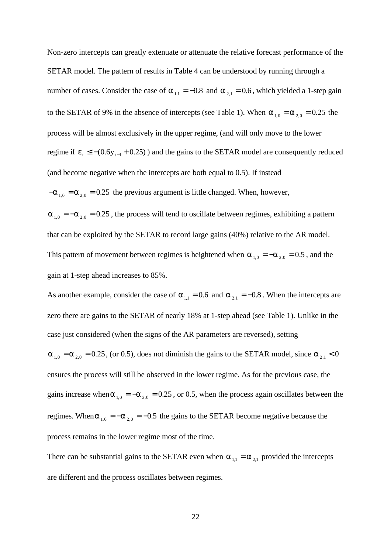Non-zero intercepts can greatly extenuate or attenuate the relative forecast performance of the SETAR model. The pattern of results in Table 4 can be understood by running through a number of cases. Consider the case of  $\alpha_{1,1} = -0.8$  and  $\alpha_{2,1} = 0.6$ , which yielded a 1-step gain to the SETAR of 9% in the absence of intercepts (see Table 1). When  $\alpha_{10} = \alpha_{20} = 0.25$  the process will be almost exclusively in the upper regime, (and will only move to the lower regime if  $\varepsilon_t \le -(0.6 y_{t-1} + 0.25)$ ) and the gains to the SETAR model are consequently reduced (and become negative when the intercepts are both equal to 0.5). If instead  $-\alpha_{1,0} = \alpha_{2,0} = 0.25$  the previous argument is little changed. When, however,

 $\alpha_{1,0} = -\alpha_{2,0} = 0.25$ , the process will tend to oscillate between regimes, exhibiting a pattern that can be exploited by the SETAR to record large gains (40%) relative to the AR model. This pattern of movement between regimes is heightened when  $\alpha_{1,0} = -\alpha_{2,0} = 0.5$ , and the gain at 1-step ahead increases to 85%.

As another example, consider the case of  $\alpha_{1,1} = 0.6$  and  $\alpha_{2,1} = -0.8$ . When the intercepts are zero there are gains to the SETAR of nearly 18% at 1-step ahead (see Table 1). Unlike in the case just considered (when the signs of the AR parameters are reversed), setting  $\alpha_{1,0} = \alpha_{2,0} = 0.25$ , (or 0.5), does not diminish the gains to the SETAR model, since  $\alpha_{2,1} < 0$ ensures the process will still be observed in the lower regime. As for the previous case, the gains increase when  $\alpha_{1,0} = -\alpha_{2,0} = 0.25$ , or 0.5, when the process again oscillates between the regimes. When  $\alpha_{1,0} = -\alpha_{2,0} = -0.5$  the gains to the SETAR become negative because the process remains in the lower regime most of the time.

There can be substantial gains to the SETAR even when  $\alpha_{1,1} = \alpha_{2,1}$  provided the intercepts are different and the process oscillates between regimes.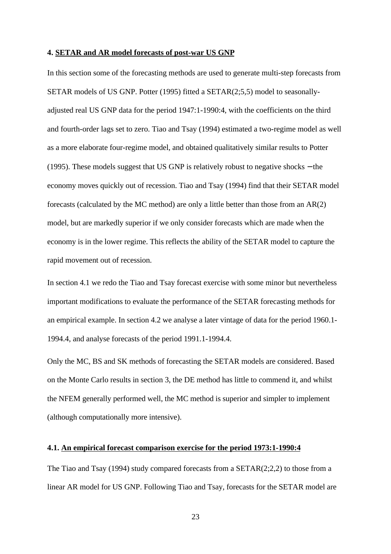#### **4. SETAR and AR model forecasts of post-war US GNP**

In this section some of the forecasting methods are used to generate multi-step forecasts from SETAR models of US GNP. Potter (1995) fitted a SETAR(2;5,5) model to seasonallyadjusted real US GNP data for the period 1947:1-1990:4, with the coefficients on the third and fourth-order lags set to zero. Tiao and Tsay (1994) estimated a two-regime model as well as a more elaborate four-regime model, and obtained qualitatively similar results to Potter (1995). These models suggest that US GNP is relatively robust to negative shocks − the economy moves quickly out of recession. Tiao and Tsay (1994) find that their SETAR model forecasts (calculated by the MC method) are only a little better than those from an AR(2) model, but are markedly superior if we only consider forecasts which are made when the economy is in the lower regime. This reflects the ability of the SETAR model to capture the rapid movement out of recession.

In section 4.1 we redo the Tiao and Tsay forecast exercise with some minor but nevertheless important modifications to evaluate the performance of the SETAR forecasting methods for an empirical example. In section 4.2 we analyse a later vintage of data for the period 1960.1- 1994.4, and analyse forecasts of the period 1991.1-1994.4.

Only the MC, BS and SK methods of forecasting the SETAR models are considered. Based on the Monte Carlo results in section 3, the DE method has little to commend it, and whilst the NFEM generally performed well, the MC method is superior and simpler to implement (although computationally more intensive).

# **4.1. An empirical forecast comparison exercise for the period 1973:1-1990:4**

The Tiao and Tsay  $(1994)$  study compared forecasts from a SETAR $(2,2,2)$  to those from a linear AR model for US GNP. Following Tiao and Tsay, forecasts for the SETAR model are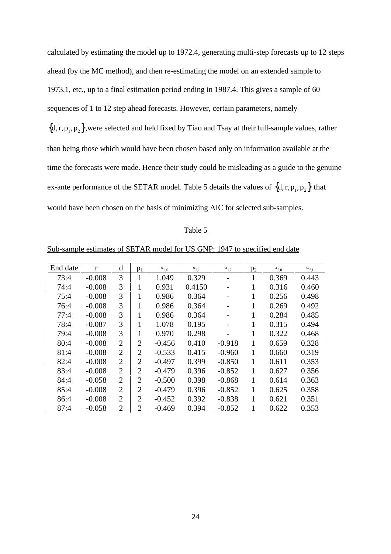calculated by estimating the model up to 1972.4, generating multi-step forecasts up to 12 steps ahead (by the MC method), and then re-estimating the model on an extended sample to 1973.1, etc., up to a final estimation period ending in 1987.4. This gives a sample of 60 sequences of 1 to 12 step ahead forecasts. However, certain parameters, namely  ${d,r,p_1,p_2}$ , were selected and held fixed by Tiao and Tsay at their full-sample values, rather than being those which would have been chosen based only on information available at the time the forecasts were made. Hence their study could be misleading as a guide to the genuine ex-ante performance of the SETAR model. Table 5 details the values of  $\{d, r, p_1, p_2\}$  that would have been chosen on the basis of minimizing AIC for selected sub-samples.

### Table 5

# Sub-sample estimates of SETAR model for US GNP: 1947 to specified end date

| End date | $\mathbf{r}$ | d              | $p_1$          | $\alpha_{1,0}$ | $\alpha_{1,1}$ | $\alpha_{1,2}$ | p <sub>2</sub> | $\alpha_{2,0}$ | $\alpha_{2,1}$ |
|----------|--------------|----------------|----------------|----------------|----------------|----------------|----------------|----------------|----------------|
| 73:4     | $-0.008$     | 3              | 1              | 1.049          | 0.329          |                | 1              | 0.369          | 0.443          |
| 74:4     | $-0.008$     | 3              |                | 0.931          | 0.4150         |                | 1              | 0.316          | 0.460          |
| 75:4     | $-0.008$     | 3              |                | 0.986          | 0.364          |                | 1              | 0.256          | 0.498          |
| 76:4     | $-0.008$     | 3              | 1              | 0.986          | 0.364          |                | 1              | 0.269          | 0.492          |
| 77:4     | $-0.008$     | 3              |                | 0.986          | 0.364          |                | 1              | 0.284          | 0.485          |
| 78:4     | $-0.087$     | 3              |                | 1.078          | 0.195          |                | 1              | 0.315          | 0.494          |
| 79:4     | $-0.008$     | 3              |                | 0.970          | 0.298          |                | 1              | 0.322          | 0.468          |
| 80:4     | $-0.008$     | $\overline{2}$ | $\overline{2}$ | $-0.456$       | 0.410          | $-0.918$       | 1              | 0.659          | 0.328          |
| 81:4     | $-0.008$     | $\overline{2}$ | $\overline{2}$ | $-0.533$       | 0.415          | $-0.960$       | 1              | 0.660          | 0.319          |
| 82:4     | $-0.008$     | $\overline{2}$ | $\overline{2}$ | $-0.497$       | 0.399          | $-0.850$       | 1              | 0.611          | 0.353          |
| 83:4     | $-0.008$     | $\overline{2}$ | 2              | $-0.479$       | 0.396          | $-0.852$       | 1              | 0.627          | 0.356          |
| 84:4     | $-0.058$     | $\overline{2}$ | 2              | $-0.500$       | 0.398          | $-0.868$       | 1              | 0.614          | 0.363          |
| 85:4     | $-0.008$     | $\overline{2}$ | 2              | $-0.479$       | 0.396          | $-0.852$       | 1              | 0.625          | 0.358          |
| 86:4     | $-0.008$     | $\overline{2}$ | 2              | $-0.452$       | 0.392          | $-0.838$       | 1              | 0.621          | 0.351          |
| 87:4     | $-0.058$     | $\overline{2}$ | $\overline{2}$ | $-0.469$       | 0.394          | $-0.852$       | 1              | 0.622          | 0.353          |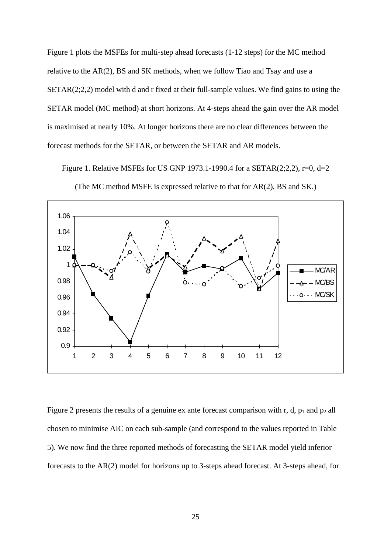Figure 1 plots the MSFEs for multi-step ahead forecasts (1-12 steps) for the MC method relative to the AR(2), BS and SK methods, when we follow Tiao and Tsay and use a SETAR(2;2,2) model with d and r fixed at their full-sample values. We find gains to using the SETAR model (MC method) at short horizons. At 4-steps ahead the gain over the AR model is maximised at nearly 10%. At longer horizons there are no clear differences between the forecast methods for the SETAR, or between the SETAR and AR models.

Figure 1. Relative MSFEs for US GNP 1973.1-1990.4 for a SETAR(2;2,2), r=0, d=2



(The MC method MSFE is expressed relative to that for AR(2), BS and SK.)

Figure 2 presents the results of a genuine ex ante forecast comparison with r, d,  $p_1$  and  $p_2$  all chosen to minimise AIC on each sub-sample (and correspond to the values reported in Table 5). We now find the three reported methods of forecasting the SETAR model yield inferior forecasts to the AR(2) model for horizons up to 3-steps ahead forecast. At 3-steps ahead, for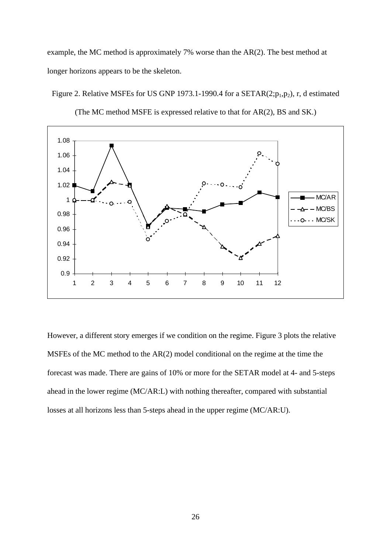example, the MC method is approximately 7% worse than the AR(2). The best method at longer horizons appears to be the skeleton.

Figure 2. Relative MSFEs for US GNP 1973.1-1990.4 for a SETAR(2; $p_1, p_2$ ), r, d estimated



(The MC method MSFE is expressed relative to that for AR(2), BS and SK.)

However, a different story emerges if we condition on the regime. Figure 3 plots the relative MSFEs of the MC method to the AR(2) model conditional on the regime at the time the forecast was made. There are gains of 10% or more for the SETAR model at 4- and 5-steps ahead in the lower regime (MC/AR:L) with nothing thereafter, compared with substantial losses at all horizons less than 5-steps ahead in the upper regime (MC/AR:U).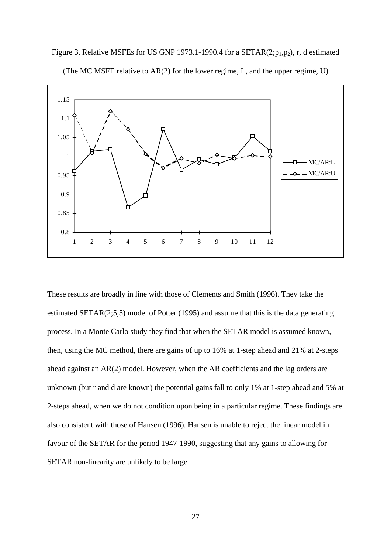

Figure 3. Relative MSFEs for US GNP 1973.1-1990.4 for a SETAR(2; $p_1, p_2$ ), r, d estimated

(The MC MSFE relative to AR(2) for the lower regime, L, and the upper regime, U)

These results are broadly in line with those of Clements and Smith (1996). They take the estimated SETAR(2;5,5) model of Potter (1995) and assume that this is the data generating process. In a Monte Carlo study they find that when the SETAR model is assumed known, then, using the MC method, there are gains of up to 16% at 1-step ahead and 21% at 2-steps ahead against an AR(2) model. However, when the AR coefficients and the lag orders are unknown (but r and d are known) the potential gains fall to only 1% at 1-step ahead and 5% at 2-steps ahead, when we do not condition upon being in a particular regime. These findings are also consistent with those of Hansen (1996). Hansen is unable to reject the linear model in favour of the SETAR for the period 1947-1990, suggesting that any gains to allowing for SETAR non-linearity are unlikely to be large.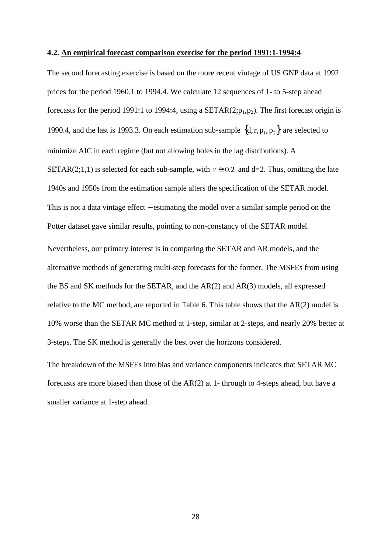#### **4.2. An empirical forecast comparison exercise for the period 1991:1-1994:4**

The second forecasting exercise is based on the more recent vintage of US GNP data at 1992 prices for the period 1960.1 to 1994.4. We calculate 12 sequences of 1- to 5-step ahead forecasts for the period 1991:1 to 1994:4, using a SETAR $(2;p_1,p_2)$ . The first forecast origin is 1990.4, and the last is 1993.3. On each estimation sub-sample  $\{d, r, p_1, p_2\}$  are selected to minimize AIC in each regime (but not allowing holes in the lag distributions). A SETAR(2;1,1) is selected for each sub-sample, with  $r \approx 0.2$  and d=2. Thus, omitting the late 1940s and 1950s from the estimation sample alters the specification of the SETAR model. This is not a data vintage effect – estimating the model over a similar sample period on the Potter dataset gave similar results, pointing to non-constancy of the SETAR model. Nevertheless, our primary interest is in comparing the SETAR and AR models, and the alternative methods of generating multi-step forecasts for the former. The MSFEs from using the BS and SK methods for the SETAR, and the AR(2) and AR(3) models, all expressed relative to the MC method, are reported in Table 6. This table shows that the AR(2) model is 10% worse than the SETAR MC method at 1-step, similar at 2-steps, and nearly 20% better at 3-steps. The SK method is generally the best over the horizons considered.

The breakdown of the MSFEs into bias and variance components indicates that SETAR MC forecasts are more biased than those of the AR(2) at 1- through to 4-steps ahead, but have a smaller variance at 1-step ahead.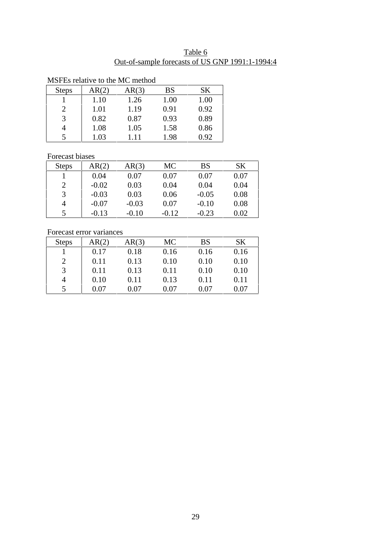| Table 6 |                                                 |  |  |  |  |  |  |
|---------|-------------------------------------------------|--|--|--|--|--|--|
|         | Out-of-sample forecasts of US GNP 1991:1-1994:4 |  |  |  |  |  |  |

| MSI ESTERNO DO HIE MC HIEMOU |       |       |           |      |  |  |  |  |
|------------------------------|-------|-------|-----------|------|--|--|--|--|
| <b>Steps</b>                 | AR(2) | AR(3) | <b>BS</b> | SK   |  |  |  |  |
|                              | 1.10  | 1.26  | 1.00      | 1.00 |  |  |  |  |
| 2                            | 1.01  | 1.19  | 0.91      | 0.92 |  |  |  |  |
| 3                            | 0.82  | 0.87  | 0.93      | 0.89 |  |  |  |  |
|                              | 1.08  | 1.05  | 1.58      | 0.86 |  |  |  |  |
| 5                            | 1.03  | 1.11  | 1.98      | 0.92 |  |  |  |  |

# MSFEs relative to the MC method

# Forecast biases

| <b>Steps</b>   | AR(2)   | AR(3)   | <b>MC</b> | <b>BS</b> | SK   |
|----------------|---------|---------|-----------|-----------|------|
|                | 0.04    | 0.07    | 0.07      | 0.07      | 0.07 |
| $\overline{2}$ | $-0.02$ | 0.03    | 0.04      | 0.04      | 0.04 |
| 3              | $-0.03$ | 0.03    | 0.06      | $-0.05$   | 0.08 |
| 4              | $-0.07$ | $-0.03$ | 0.07      | $-0.10$   | 0.08 |
| 5              | $-0.13$ | $-0.10$ | $-0.12$   | $-0.23$   | 0.02 |

# Forecast error variances

| <b>Steps</b>   | AR(2) | AR(3) | <b>MC</b> | <b>BS</b> | SΚ   |
|----------------|-------|-------|-----------|-----------|------|
|                | 0.17  | 0.18  | 0.16      | 0.16      | 0.16 |
| $\overline{2}$ | 0.11  | 0.13  | 0.10      | 0.10      | 0.10 |
| 3              | 0.11  | 0.13  | 0.11      | 0.10      | 0.10 |
| $\overline{4}$ | 0.10  | 0.11  | 0.13      | 0.11      | 0.11 |
| 5              | 0.07  | 0.07  | 0.07      | 0.07      | 0.07 |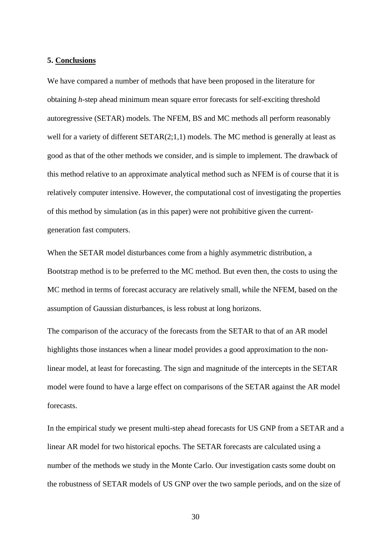### **5. Conclusions**

We have compared a number of methods that have been proposed in the literature for obtaining *h*-step ahead minimum mean square error forecasts for self-exciting threshold autoregressive (SETAR) models. The NFEM, BS and MC methods all perform reasonably well for a variety of different SETAR(2;1,1) models. The MC method is generally at least as good as that of the other methods we consider, and is simple to implement. The drawback of this method relative to an approximate analytical method such as NFEM is of course that it is relatively computer intensive. However, the computational cost of investigating the properties of this method by simulation (as in this paper) were not prohibitive given the currentgeneration fast computers.

When the SETAR model disturbances come from a highly asymmetric distribution, a Bootstrap method is to be preferred to the MC method. But even then, the costs to using the MC method in terms of forecast accuracy are relatively small, while the NFEM, based on the assumption of Gaussian disturbances, is less robust at long horizons.

The comparison of the accuracy of the forecasts from the SETAR to that of an AR model highlights those instances when a linear model provides a good approximation to the nonlinear model, at least for forecasting. The sign and magnitude of the intercepts in the SETAR model were found to have a large effect on comparisons of the SETAR against the AR model forecasts.

In the empirical study we present multi-step ahead forecasts for US GNP from a SETAR and a linear AR model for two historical epochs. The SETAR forecasts are calculated using a number of the methods we study in the Monte Carlo. Our investigation casts some doubt on the robustness of SETAR models of US GNP over the two sample periods, and on the size of

30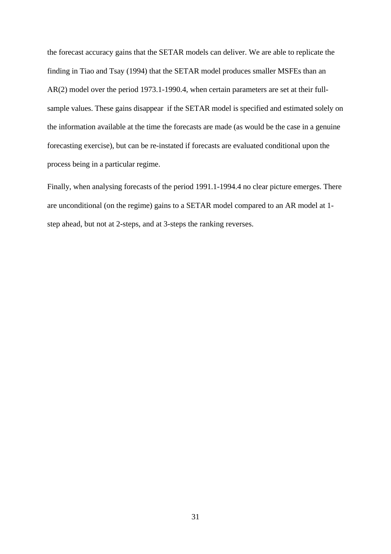the forecast accuracy gains that the SETAR models can deliver. We are able to replicate the finding in Tiao and Tsay (1994) that the SETAR model produces smaller MSFEs than an AR(2) model over the period 1973.1-1990.4, when certain parameters are set at their fullsample values. These gains disappear if the SETAR model is specified and estimated solely on the information available at the time the forecasts are made (as would be the case in a genuine forecasting exercise), but can be re-instated if forecasts are evaluated conditional upon the process being in a particular regime.

Finally, when analysing forecasts of the period 1991.1-1994.4 no clear picture emerges. There are unconditional (on the regime) gains to a SETAR model compared to an AR model at 1 step ahead, but not at 2-steps, and at 3-steps the ranking reverses.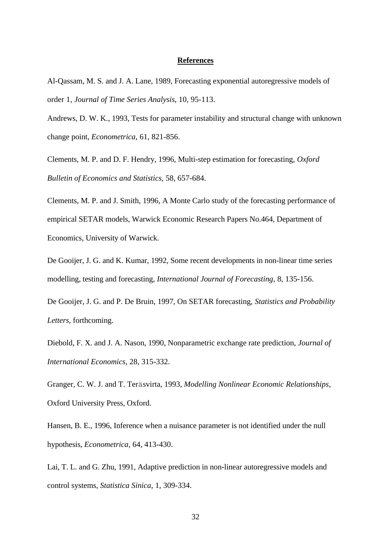### **References**

Al-Qassam, M. S. and J. A. Lane, 1989, Forecasting exponential autoregressive models of order 1, *Journal of Time Series Analysis*, 10, 95-113.

Andrews, D. W. K., 1993, Tests for parameter instability and structural change with unknown change point, *Econometrica*, 61, 821-856.

Clements, M. P. and D. F. Hendry, 1996, Multi-step estimation for forecasting, *Oxford Bulletin of Economics and Statistics*, 58, 657-684.

Clements, M. P. and J. Smith, 1996, A Monte Carlo study of the forecasting performance of empirical SETAR models, Warwick Economic Research Papers No.464, Department of Economics, University of Warwick.

De Gooijer, J. G. and K. Kumar, 1992, Some recent developments in non-linear time series modelling, testing and forecasting, *International Journal of Forecasting*, 8, 135-156.

De Gooijer, J. G. and P. De Bruin, 1997, On SETAR forecasting, *Statistics and Probability Letters*, forthcoming.

Diebold, F. X. and J. A. Nason, 1990, Nonparametric exchange rate prediction, *Journal of International Economics*, 28, 315-332.

Granger, C. W. J. and T. Teräsvirta, 1993, *Modelling Nonlinear Economic Relationships*, Oxford University Press, Oxford.

Hansen, B. E., 1996, Inference when a nuisance parameter is not identified under the null hypothesis, *Econometrica*, 64, 413-430.

Lai, T. L. and G. Zhu, 1991, Adaptive prediction in non-linear autoregressive models and control systems, *Statistica Sinica*, 1, 309-334.